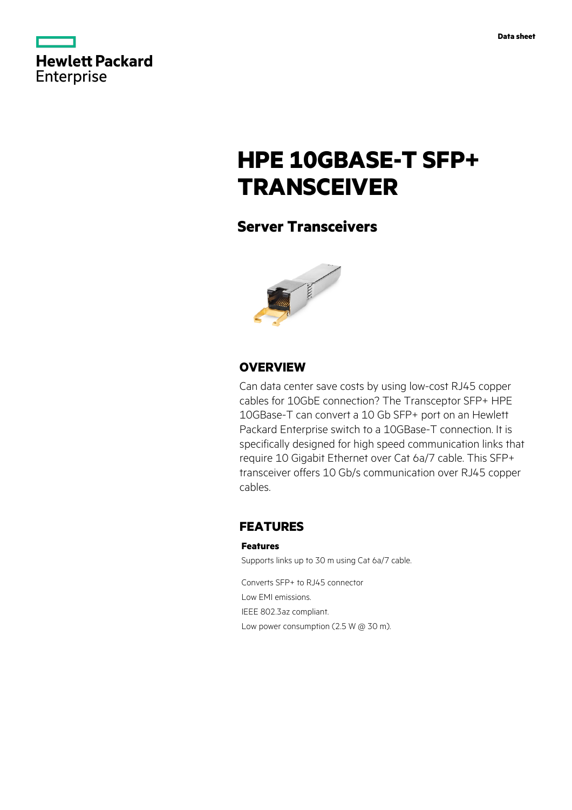|            | Hewlett Packard |
|------------|-----------------|
|            |                 |
| Enterprise |                 |

# **HPE 10GBASE-T SFP+ TRANSCEIVER**

# **Server Transceivers**



## **OVERVIEW**

Can data center save costs by using low-cost RJ45 copper cables for 10GbE connection? The Transceptor SFP+ HPE 10GBase-T can convert a 10 Gb SFP+ port on an Hewlett Packard Enterprise switch to a 10GBase-T connection. It is specifically designed for high speed communication links that require 10 Gigabit Ethernet over Cat 6a/7 cable. This SFP+ transceiver offers 10 Gb/s communication over RJ45 copper cables.

### **FEATURES**

#### **Features**

Supports links up to 30 m using Cat 6a/7 cable.

Converts SFP+ to RJ45 connector Low EMI emissions. IEEE 802.3az compliant. Low power consumption (2.5 W @ 30 m).